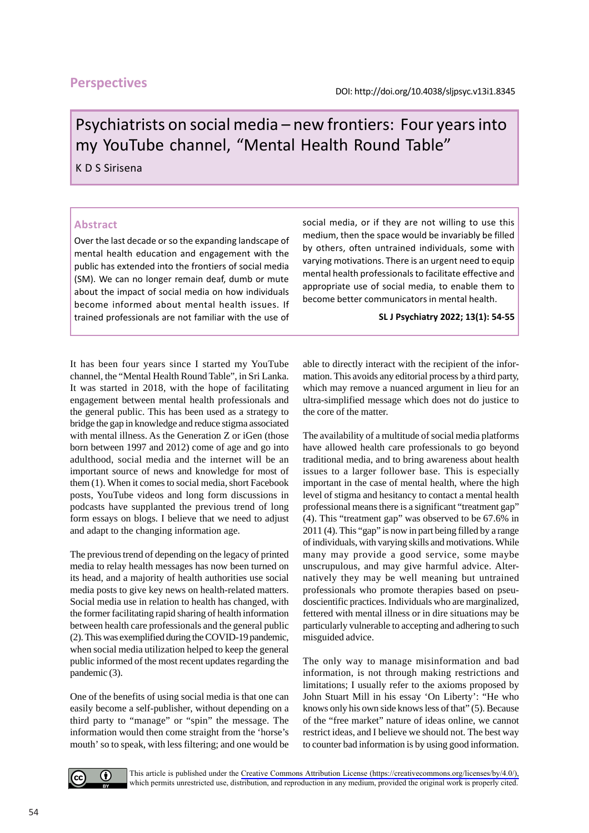# **Perspectives**

# Psychiatrists on social media – new frontiers: Four years into my YouTube channel, "Mental Health Round Table"

K D S Sirisena

## **Abstract**

Over the last decade or so the expanding landscape of mental health education and engagement with the public has extended into the frontiers of social media (SM). We can no longer remain deaf, dumb or mute about the impact of social media on how individuals become informed about mental health issues. If trained professionals are not familiar with the use of social media, or if they are not willing to use this medium, then the space would be invariably be filled by others, often untrained individuals, some with varying motivations. There is an urgent need to equip mental health professionals to facilitate effective and appropriate use of social media, to enable them to become better communicators in mental health.

#### **SL J Psychiatry 2022; 13(1): 54-55**

It has been four years since I started my YouTube channel, the "Mental Health Round Table", in Sri Lanka. It was started in 2018, with the hope of facilitating engagement between mental health professionals and the general public. This has been used as a strategy to bridge the gap in knowledge and reduce stigma associated with mental illness. As the Generation Z or iGen (those born between 1997 and 2012) come of age and go into adulthood, social media and the internet will be an important source of news and knowledge for most of them (1). When it comes to social media, short Facebook posts, YouTube videos and long form discussions in podcasts have supplanted the previous trend of long form essays on blogs. I believe that we need to adjust and adapt to the changing information age.

The previous trend of depending on the legacy of printed media to relay health messages has now been turned on its head, and a majority of health authorities use social media posts to give key news on health-related matters. Social media use in relation to health has changed, with the former facilitating rapid sharing of health information between health care professionals and the general public (2). This was exemplified during the COVID-19 pandemic, when social media utilization helped to keep the general public informed of the most recent updates regarding the pandemic (3).

One of the benefits of using social media is that one can easily become a self-publisher, without depending on a third party to "manage" or "spin" the message. The information would then come straight from the 'horse's mouth' so to speak, with less filtering; and one would be able to directly interact with the recipient of the information. This avoids any editorial process by a third party, which may remove a nuanced argument in lieu for an ultra-simplified message which does not do justice to the core of the matter.

The availability of a multitude of social media platforms have allowed health care professionals to go beyond traditional media, and to bring awareness about health issues to a larger follower base. This is especially important in the case of mental health, where the high level of stigma and hesitancy to contact a mental health professional means there is a significant "treatment gap" (4). This "treatment gap" was observed to be 67.6% in 2011 (4). This "gap" is now in part being filled by a range of individuals, with varying skills and motivations. While many may provide a good service, some maybe unscrupulous, and may give harmful advice. Alternatively they may be well meaning but untrained professionals who promote therapies based on pseudoscientific practices. Individuals who are marginalized, fettered with mental illness or in dire situations may be particularly vulnerable to accepting and adhering to such misguided advice.

The only way to manage misinformation and bad information, is not through making restrictions and limitations; I usually refer to the axioms proposed by John Stuart Mill in his essay 'On Liberty': "He who knows only his own side knows less of that" (5). Because of the "free market" nature of ideas online, we cannot restrict ideas, and I believe we should not. The best way to counter bad information is by using good information.



This article is published under the [Creative Commons Attribution License \(https://creativecommons.org/licenses/by/4.0/\),](https://creativecommons.org/licenses/by/4.0/) which permits unrestricted use, distribution, and reproduction in any medium, provided the original work is properly cited.